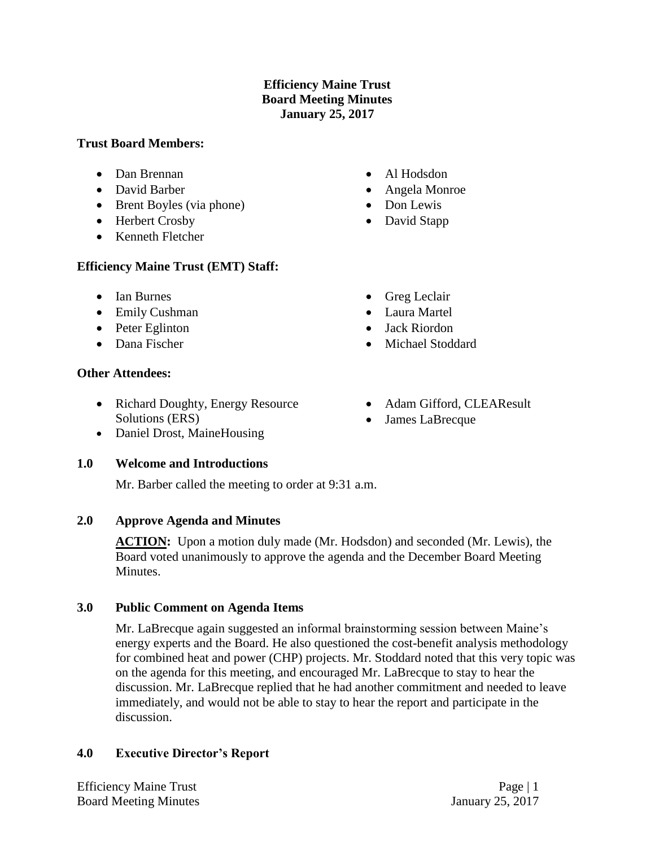## **Efficiency Maine Trust Board Meeting Minutes January 25, 2017**

### **Trust Board Members:**

- Dan Brennan
- David Barber
- Brent Boyles (via phone)
- Herbert Crosby
- Kenneth Fletcher

## **Efficiency Maine Trust (EMT) Staff:**

- Ian Burnes
- Emily Cushman
- Peter Eglinton
- Dana Fischer

## **Other Attendees:**

- Richard Doughty, Energy Resource Solutions (ERS)
- Daniel Drost, MaineHousing

### **1.0 Welcome and Introductions**

Mr. Barber called the meeting to order at 9:31 a.m.

# **2.0 Approve Agenda and Minutes**

**ACTION:** Upon a motion duly made (Mr. Hodsdon) and seconded (Mr. Lewis), the Board voted unanimously to approve the agenda and the December Board Meeting Minutes.

# **3.0 Public Comment on Agenda Items**

Mr. LaBrecque again suggested an informal brainstorming session between Maine's energy experts and the Board. He also questioned the cost-benefit analysis methodology for combined heat and power (CHP) projects. Mr. Stoddard noted that this very topic was on the agenda for this meeting, and encouraged Mr. LaBrecque to stay to hear the discussion. Mr. LaBrecque replied that he had another commitment and needed to leave immediately, and would not be able to stay to hear the report and participate in the discussion.

# **4.0 Executive Director's Report**

Efficiency Maine Trust Page | 1 Board Meeting Minutes January 25, 2017

- Al Hodsdon
- Angela Monroe
- Don Lewis
- David Stapp
- Greg Leclair
- Laura Martel
- Jack Riordon
- Michael Stoddard
- Adam Gifford, CLEAResult
- James LaBrecque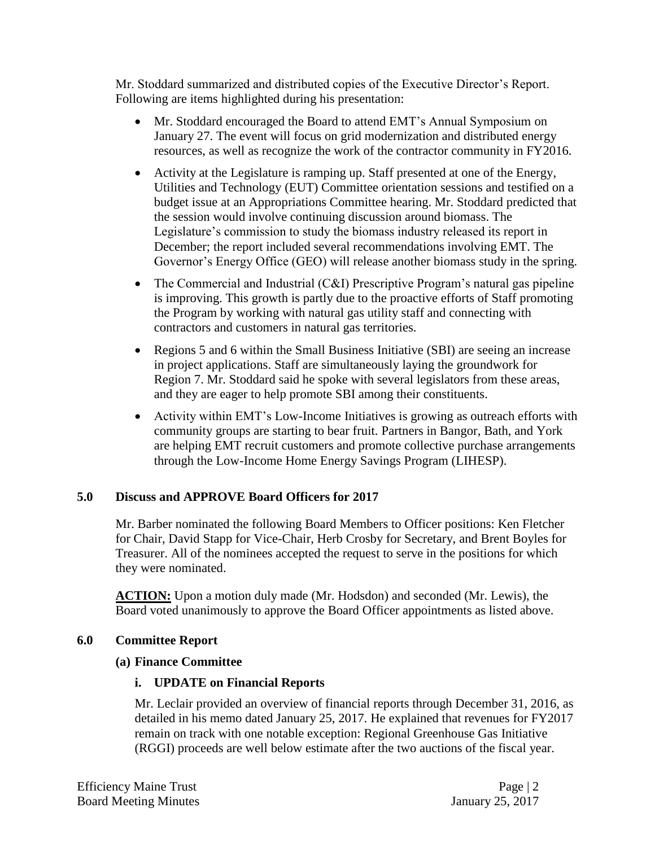Mr. Stoddard summarized and distributed copies of the Executive Director's Report. Following are items highlighted during his presentation:

- Mr. Stoddard encouraged the Board to attend EMT's Annual Symposium on January 27. The event will focus on grid modernization and distributed energy resources, as well as recognize the work of the contractor community in FY2016.
- Activity at the Legislature is ramping up. Staff presented at one of the Energy, Utilities and Technology (EUT) Committee orientation sessions and testified on a budget issue at an Appropriations Committee hearing. Mr. Stoddard predicted that the session would involve continuing discussion around biomass. The Legislature's commission to study the biomass industry released its report in December; the report included several recommendations involving EMT. The Governor's Energy Office (GEO) will release another biomass study in the spring.
- The Commercial and Industrial (C&I) Prescriptive Program's natural gas pipeline is improving. This growth is partly due to the proactive efforts of Staff promoting the Program by working with natural gas utility staff and connecting with contractors and customers in natural gas territories.
- Regions 5 and 6 within the Small Business Initiative (SBI) are seeing an increase in project applications. Staff are simultaneously laying the groundwork for Region 7. Mr. Stoddard said he spoke with several legislators from these areas, and they are eager to help promote SBI among their constituents.
- Activity within EMT's Low-Income Initiatives is growing as outreach efforts with community groups are starting to bear fruit. Partners in Bangor, Bath, and York are helping EMT recruit customers and promote collective purchase arrangements through the Low-Income Home Energy Savings Program (LIHESP).

### **5.0 Discuss and APPROVE Board Officers for 2017**

Mr. Barber nominated the following Board Members to Officer positions: Ken Fletcher for Chair, David Stapp for Vice-Chair, Herb Crosby for Secretary, and Brent Boyles for Treasurer. All of the nominees accepted the request to serve in the positions for which they were nominated.

**ACTION:** Upon a motion duly made (Mr. Hodsdon) and seconded (Mr. Lewis), the Board voted unanimously to approve the Board Officer appointments as listed above.

#### **6.0 Committee Report**

#### **(a) Finance Committee**

### **i. UPDATE on Financial Reports**

Mr. Leclair provided an overview of financial reports through December 31, 2016, as detailed in his memo dated January 25, 2017. He explained that revenues for FY2017 remain on track with one notable exception: Regional Greenhouse Gas Initiative (RGGI) proceeds are well below estimate after the two auctions of the fiscal year.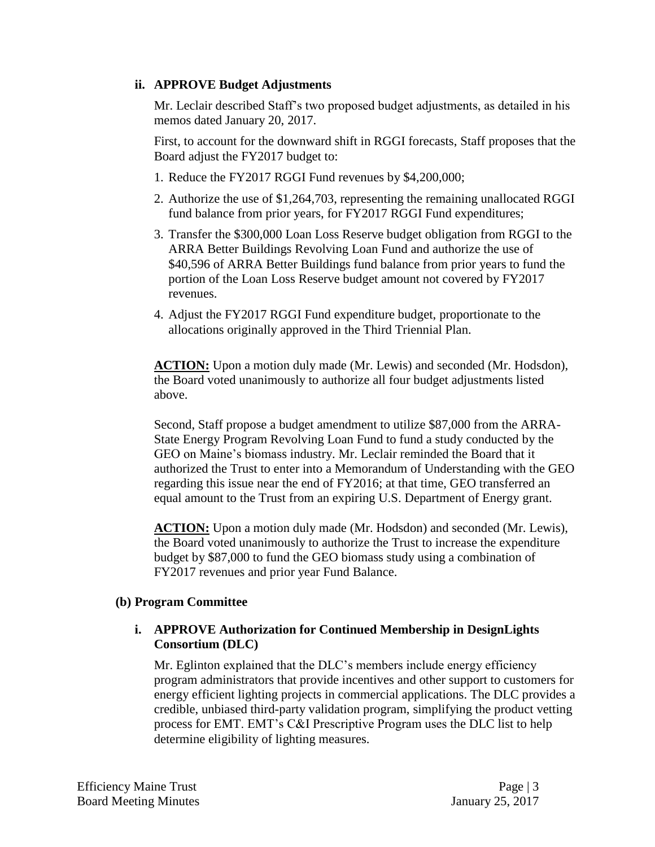### **ii. APPROVE Budget Adjustments**

Mr. Leclair described Staff's two proposed budget adjustments, as detailed in his memos dated January 20, 2017.

First, to account for the downward shift in RGGI forecasts, Staff proposes that the Board adjust the FY2017 budget to:

- 1. Reduce the FY2017 RGGI Fund revenues by \$4,200,000;
- 2. Authorize the use of \$1,264,703, representing the remaining unallocated RGGI fund balance from prior years, for FY2017 RGGI Fund expenditures;
- 3. Transfer the \$300,000 Loan Loss Reserve budget obligation from RGGI to the ARRA Better Buildings Revolving Loan Fund and authorize the use of \$40,596 of ARRA Better Buildings fund balance from prior years to fund the portion of the Loan Loss Reserve budget amount not covered by FY2017 revenues.
- 4. Adjust the FY2017 RGGI Fund expenditure budget, proportionate to the allocations originally approved in the Third Triennial Plan.

**ACTION:** Upon a motion duly made (Mr. Lewis) and seconded (Mr. Hodsdon), the Board voted unanimously to authorize all four budget adjustments listed above.

Second, Staff propose a budget amendment to utilize \$87,000 from the ARRA-State Energy Program Revolving Loan Fund to fund a study conducted by the GEO on Maine's biomass industry. Mr. Leclair reminded the Board that it authorized the Trust to enter into a Memorandum of Understanding with the GEO regarding this issue near the end of FY2016; at that time, GEO transferred an equal amount to the Trust from an expiring U.S. Department of Energy grant.

**ACTION:** Upon a motion duly made (Mr. Hodsdon) and seconded (Mr. Lewis), the Board voted unanimously to authorize the Trust to increase the expenditure budget by \$87,000 to fund the GEO biomass study using a combination of FY2017 revenues and prior year Fund Balance.

### **(b) Program Committee**

### **i. APPROVE Authorization for Continued Membership in DesignLights Consortium (DLC)**

Mr. Eglinton explained that the DLC's members include energy efficiency program administrators that provide incentives and other support to customers for energy efficient lighting projects in commercial applications. The DLC provides a credible, unbiased third-party validation program, simplifying the product vetting process for EMT. EMT's C&I Prescriptive Program uses the DLC list to help determine eligibility of lighting measures.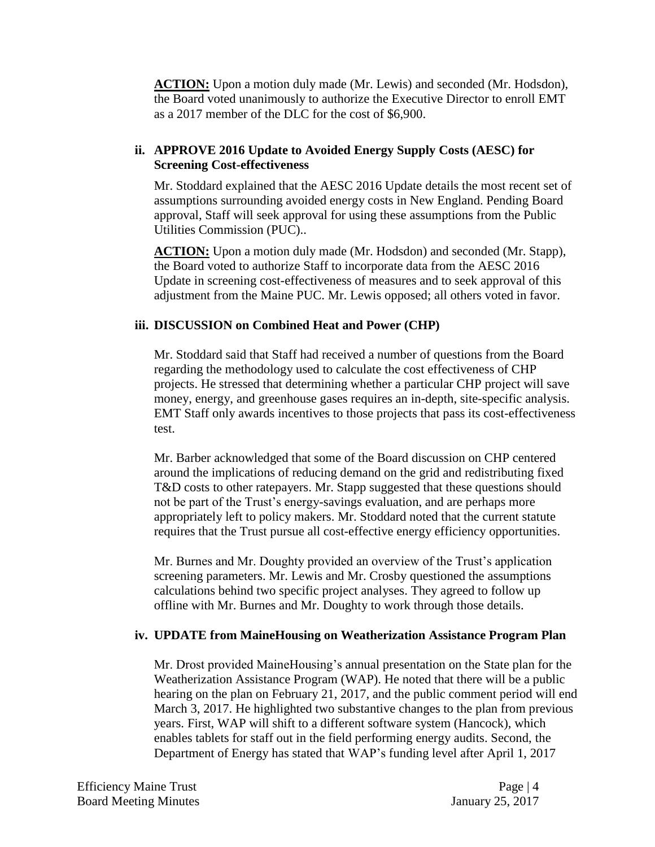**ACTION:** Upon a motion duly made (Mr. Lewis) and seconded (Mr. Hodsdon), the Board voted unanimously to authorize the Executive Director to enroll EMT as a 2017 member of the DLC for the cost of \$6,900.

## **ii. APPROVE 2016 Update to Avoided Energy Supply Costs (AESC) for Screening Cost-effectiveness**

Mr. Stoddard explained that the AESC 2016 Update details the most recent set of assumptions surrounding avoided energy costs in New England. Pending Board approval, Staff will seek approval for using these assumptions from the Public Utilities Commission (PUC)..

**ACTION:** Upon a motion duly made (Mr. Hodsdon) and seconded (Mr. Stapp), the Board voted to authorize Staff to incorporate data from the AESC 2016 Update in screening cost-effectiveness of measures and to seek approval of this adjustment from the Maine PUC. Mr. Lewis opposed; all others voted in favor.

### **iii. DISCUSSION on Combined Heat and Power (CHP)**

Mr. Stoddard said that Staff had received a number of questions from the Board regarding the methodology used to calculate the cost effectiveness of CHP projects. He stressed that determining whether a particular CHP project will save money, energy, and greenhouse gases requires an in-depth, site-specific analysis. EMT Staff only awards incentives to those projects that pass its cost-effectiveness test.

Mr. Barber acknowledged that some of the Board discussion on CHP centered around the implications of reducing demand on the grid and redistributing fixed T&D costs to other ratepayers. Mr. Stapp suggested that these questions should not be part of the Trust's energy-savings evaluation, and are perhaps more appropriately left to policy makers. Mr. Stoddard noted that the current statute requires that the Trust pursue all cost-effective energy efficiency opportunities.

Mr. Burnes and Mr. Doughty provided an overview of the Trust's application screening parameters. Mr. Lewis and Mr. Crosby questioned the assumptions calculations behind two specific project analyses. They agreed to follow up offline with Mr. Burnes and Mr. Doughty to work through those details.

### **iv. UPDATE from MaineHousing on Weatherization Assistance Program Plan**

Mr. Drost provided MaineHousing's annual presentation on the State plan for the Weatherization Assistance Program (WAP). He noted that there will be a public hearing on the plan on February 21, 2017, and the public comment period will end March 3, 2017. He highlighted two substantive changes to the plan from previous years. First, WAP will shift to a different software system (Hancock), which enables tablets for staff out in the field performing energy audits. Second, the Department of Energy has stated that WAP's funding level after April 1, 2017